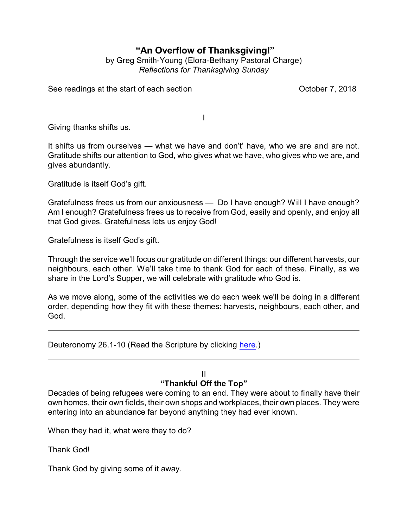# **"An Overflow of Thanksgiving!"**

## by Greg Smith-Young (Elora-Bethany Pastoral Charge) *Reflections for Thanksgiving Sunday*

See readings at the start of each section See The See readings at the start of each section

Giving thanks shifts us.

It shifts us from ourselves — what we have and don't' have, who we are and are not. Gratitude shifts our attention to God, who gives what we have, who gives who we are, and gives abundantly.

I

Gratitude is itself God's gift.

Gratefulness frees us from our anxiousness — Do I have enough? Will I have enough? Am I enough? Gratefulness frees us to receive from God, easily and openly, and enjoy all that God gives. Gratefulness lets us enjoy God!

Gratefulness is itself God's gift.

Through the service we'll focus our gratitude on different things: our different harvests, our neighbours, each other. We'll take time to thank God for each of these. Finally, as we share in the Lord's Supper, we will celebrate with gratitude who God is.

As we move along, some of the activities we do each week we'll be doing in a different order, depending how they fit with these themes: harvests, neighbours, each other, and God.

Deuteronomy 26.1-10 (Read the Scripture by clicking [here](https://www.biblegateway.com/passage/?search=Deuteronomy+26.1-10&version=CEB).)

# II

## **"Thankful Off the Top"**

Decades of being refugees were coming to an end. They were about to finally have their own homes, their own fields, their own shops and workplaces, their own places. They were entering into an abundance far beyond anything they had ever known.

When they had it, what were they to do?

Thank God!

Thank God by giving some of it away.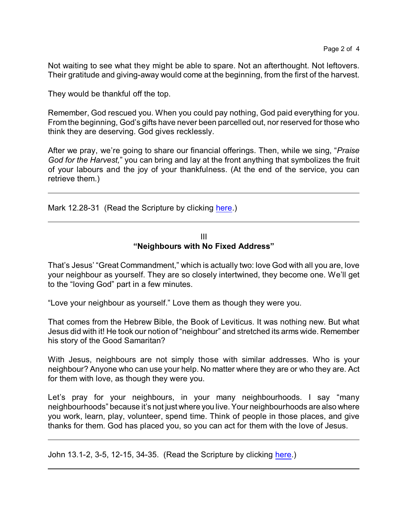Not waiting to see what they might be able to spare. Not an afterthought. Not leftovers. Their gratitude and giving-away would come at the beginning, from the first of the harvest.

They would be thankful off the top.

Remember, God rescued you. When you could pay nothing, God paid everything for you. From the beginning, God's gifts have never been parcelled out, nor reserved for those who think they are deserving. God gives recklessly.

After we pray, we're going to share our financial offerings. Then, while we sing, "*Praise God for the Harvest,*" you can bring and lay at the front anything that symbolizes the fruit of your labours and the joy of your thankfulness. (At the end of the service, you can retrieve them.)

Mark 12.28-31 (Read the Scripture by clicking [here](https://www.biblegateway.com/passage/?search=Mark+12.28-31&version=CEB).)

#### III **"Neighbours with No Fixed Address"**

That's Jesus' "Great Commandment," which is actually two: love God with all you are, love your neighbour as yourself. They are so closely intertwined, they become one. We'll get to the "loving God" part in a few minutes.

"Love your neighbour as yourself." Love them as though they were you.

That comes from the Hebrew Bible, the Book of Leviticus. It was nothing new. But what Jesus did with it! He took our notion of "neighbour" and stretched its arms wide. Remember his story of the Good Samaritan?

With Jesus, neighbours are not simply those with similar addresses. Who is your neighbour? Anyone who can use your help. No matter where they are or who they are. Act for them with love, as though they were you.

Let's pray for your neighbours, in your many neighbourhoods. I say "many neighbourhoods" because it's not just where you live. Your neighbourhoods are also where you work, learn, play, volunteer, spend time. Think of people in those places, and give thanks for them. God has placed you, so you can act for them with the love of Jesus.

John 13.1-2, 3-5, 12-15, 34-35. (Read the Scripture by clicking [here](https://www.biblegateway.com/passage/?search=John+13.1-2%2C+3-5%2C+12-15%2C+34-35.+&version=CEB).)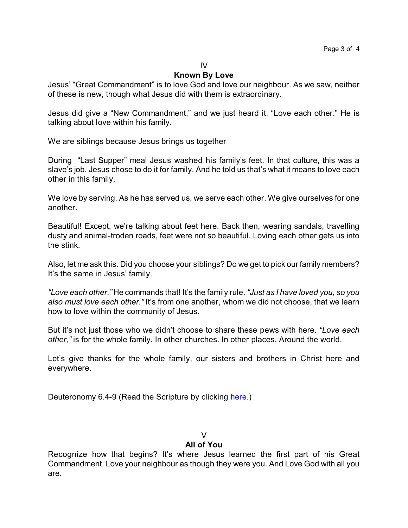#### IV

### **Known By Love**

Jesus' "Great Commandment" is to love God and love our neighbour. As we saw, neither of these is new, though what Jesus did with them is extraordinary.

Jesus did give a "New Commandment," and we just heard it. "Love each other." He is talking about love within his family.

We are siblings because Jesus brings us together

During "Last Supper" meal Jesus washed his family's feet. In that culture, this was a slave's job. Jesus chose to do it for family. And he told us that's what it means to love each other in this family.

We love by serving. As he has served us, we serve each other. We give ourselves for one another.

Beautiful! Except, we're talking about feet here. Back then, wearing sandals, travelling dusty and animal-troden roads, feet were not so beautiful. Loving each other gets us into the stink.

Also, let me ask this. Did you choose your siblings? Do we get to pick our family members? It's the same in Jesus' family.

*"Love each other."* He commands that! It's the family rule. *"Just as I have loved you, so you also must love each other."* It's from one another, whom we did not choose, that we learn how to love within the community of Jesus.

But it's not just those who we didn't choose to share these pews with here. *"Love each other,"* is for the whole family. In other churches. In other places. Around the world.

Let's give thanks for the whole family, our sisters and brothers in Christ here and everywhere.

Deuteronomy 6.4-9 (Read the Scripture by clicking [here](https://www.biblegateway.com/passage/?search=Deuteronomy+6.4-9&version=CEB).)

### $\mathcal{U}$

## **All of You**

Recognize how that begins? It's where Jesus learned the first part of his Great Commandment. Love your neighbour as though they were you. And Love God with all you are.